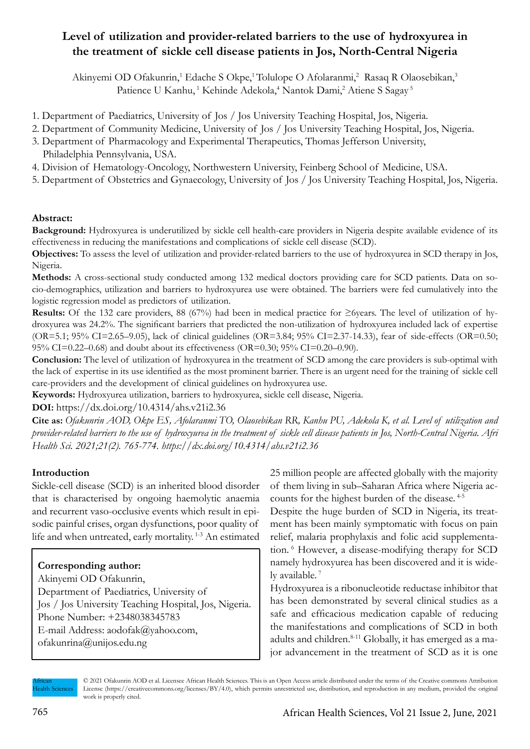# **Level of utilization and provider-related barriers to the use of hydroxyurea in the treatment of sickle cell disease patients in Jos, North-Central Nigeria**

Akinyemi OD Ofakunrin,<sup>1</sup> Edache S Okpe,<sup>1</sup> Tolulope O Afolaranmi,<sup>2</sup> Rasaq R Olaosebikan,<sup>3</sup> Patience U Kanhu,<sup>1</sup> Kehinde Adekola,<sup>4</sup> Nantok Dami,<sup>2</sup> Atiene S Sagay<sup>5</sup>

- 1. Department of Paediatrics, University of Jos / Jos University Teaching Hospital, Jos, Nigeria.
- 2. Department of Community Medicine, University of Jos / Jos University Teaching Hospital, Jos, Nigeria.
- 3. Department of Pharmacology and Experimental Therapeutics, Thomas Jefferson University, Philadelphia Pennsylvania, USA.
- 4. Division of Hematology-Oncology, Northwestern University, Feinberg School of Medicine, USA.
- 5. Department of Obstetrics and Gynaecology, University of Jos / Jos University Teaching Hospital, Jos, Nigeria.

# **Abstract:**

**Background:** Hydroxyurea is underutilized by sickle cell health-care providers in Nigeria despite available evidence of its effectiveness in reducing the manifestations and complications of sickle cell disease (SCD).

**Objectives:** To assess the level of utilization and provider-related barriers to the use of hydroxyurea in SCD therapy in Jos, Nigeria.

**Methods:** A cross-sectional study conducted among 132 medical doctors providing care for SCD patients. Data on socio-demographics, utilization and barriers to hydroxyurea use were obtained. The barriers were fed cumulatively into the logistic regression model as predictors of utilization.

**Results:** Of the 132 care providers, 88 (67%) had been in medical practice for ≥6years. The level of utilization of hydroxyurea was 24.2%. The significant barriers that predicted the non-utilization of hydroxyurea included lack of expertise (OR=5.1; 95% CI=2.65–9.05), lack of clinical guidelines (OR=3.84; 95% CI=2.37-14.33), fear of side-effects (OR=0.50; 95% CI=0.22–0.68) and doubt about its effectiveness (OR=0.30; 95% CI=0.20–0.90).

**Conclusion:** The level of utilization of hydroxyurea in the treatment of SCD among the care providers is sub-optimal with the lack of expertise in its use identified as the most prominent barrier. There is an urgent need for the training of sickle cell care-providers and the development of clinical guidelines on hydroxyurea use.

**Keywords:** Hydroxyurea utilization, barriers to hydroxyurea, sickle cell disease, Nigeria.

**DOI:** https://dx.doi.org/10.4314/ahs.v21i2.36

**Cite as:** *Ofakunrin AOD, Okpe ES, Afolaranmi TO, Olaosebikan RR, Kanhu PU, Adekola K, et al. Level of utilization and provider-related barriers to the use of hydroxyurea in the treatment of sickle cell disease patients in Jos, North-Central Nigeria. Afri Health Sci. 2021;21(2). 765-774. https://dx.doi.org/10.4314/ahs.v21i2.36*

# **Introduction**

Sickle-cell disease (SCD) is an inherited blood disorder that is characterised by ongoing haemolytic anaemia and recurrent vaso-occlusive events which result in episodic painful crises, organ dysfunctions, poor quality of life and when untreated, early mortality.<sup>1-3</sup> An estimated

# **Corresponding author:**

Akinyemi OD Ofakunrin, Department of Paediatrics, University of Jos / Jos University Teaching Hospital, Jos, Nigeria. Phone Number: +2348038345783 E-mail Address: aodofak@yahoo.com, ofakunrina@unijos.edu.ng

25 million people are affected globally with the majority of them living in sub–Saharan Africa where Nigeria accounts for the highest burden of the disease. 4-5

Despite the huge burden of SCD in Nigeria, its treatment has been mainly symptomatic with focus on pain relief, malaria prophylaxis and folic acid supplementation. 6 However, a disease-modifying therapy for SCD namely hydroxyurea has been discovered and it is widely available.<sup>7</sup>

Hydroxyurea is a ribonucleotide reductase inhibitor that has been demonstrated by several clinical studies as a safe and efficacious medication capable of reducing the manifestations and complications of SCD in both adults and children.<sup>8-11</sup> Globally, it has emerged as a major advancement in the treatment of SCD as it is one

African **Iealth Sciences**  © 2021 Ofakunrin AOD et al. Licensee African Health Sciences. This is an Open Access article distributed under the terms of the Creative commons Attribution License (https://creativecommons.org/licenses/BY/4.0), which permits unrestricted use, distribution, and reproduction in any medium, provided the original work is properly cited.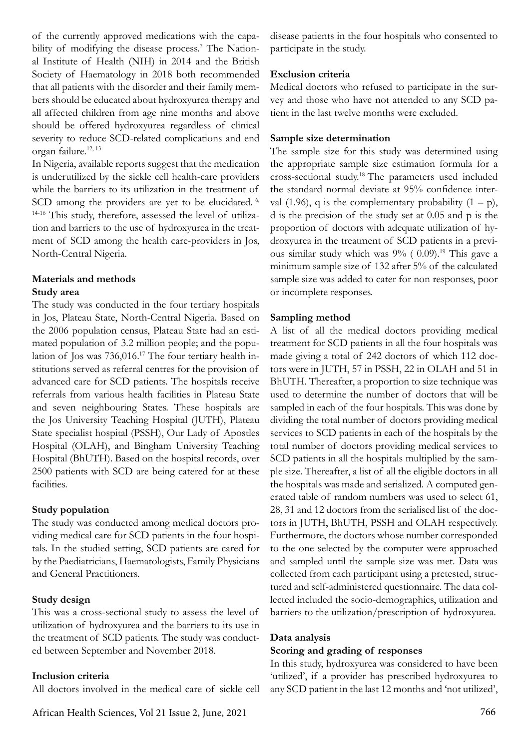of the currently approved medications with the capability of modifying the disease process.<sup>7</sup> The National Institute of Health (NIH) in 2014 and the British Society of Haematology in 2018 both recommended that all patients with the disorder and their family members should be educated about hydroxyurea therapy and all affected children from age nine months and above should be offered hydroxyurea regardless of clinical severity to reduce SCD-related complications and end organ failure.<sup>12, 13</sup>

In Nigeria, available reports suggest that the medication is underutilized by the sickle cell health-care providers while the barriers to its utilization in the treatment of SCD among the providers are yet to be elucidated.<sup>6,</sup> 14-16 This study, therefore, assessed the level of utilization and barriers to the use of hydroxyurea in the treatment of SCD among the health care-providers in Jos, North-Central Nigeria.

### **Materials and methods Study area**

The study was conducted in the four tertiary hospitals in Jos, Plateau State, North-Central Nigeria. Based on the 2006 population census, Plateau State had an estimated population of 3.2 million people; and the population of Jos was 736,016.17 The four tertiary health institutions served as referral centres for the provision of advanced care for SCD patients. The hospitals receive referrals from various health facilities in Plateau State and seven neighbouring States. These hospitals are the Jos University Teaching Hospital (JUTH), Plateau State specialist hospital (PSSH), Our Lady of Apostles Hospital (OLAH), and Bingham University Teaching Hospital (BhUTH). Based on the hospital records, over 2500 patients with SCD are being catered for at these facilities.

# **Study population**

The study was conducted among medical doctors providing medical care for SCD patients in the four hospitals. In the studied setting, SCD patients are cared for by the Paediatricians, Haematologists, Family Physicians and General Practitioners.

# **Study design**

This was a cross-sectional study to assess the level of utilization of hydroxyurea and the barriers to its use in the treatment of SCD patients. The study was conducted between September and November 2018.

# **Inclusion criteria**

All doctors involved in the medical care of sickle cell

disease patients in the four hospitals who consented to participate in the study.

# **Exclusion criteria**

Medical doctors who refused to participate in the survey and those who have not attended to any SCD patient in the last twelve months were excluded.

### **Sample size determination**

The sample size for this study was determined using the appropriate sample size estimation formula for a cross-sectional study.18 The parameters used included the standard normal deviate at 95% confidence interval (1.96), q is the complementary probability  $(1 - p)$ , d is the precision of the study set at 0.05 and p is the proportion of doctors with adequate utilization of hydroxyurea in the treatment of SCD patients in a previous similar study which was  $9\%$  ( 0.09).<sup>19</sup> This gave a minimum sample size of 132 after 5% of the calculated sample size was added to cater for non responses, poor or incomplete responses.

# **Sampling method**

A list of all the medical doctors providing medical treatment for SCD patients in all the four hospitals was made giving a total of 242 doctors of which 112 doctors were in JUTH, 57 in PSSH, 22 in OLAH and 51 in BhUTH. Thereafter, a proportion to size technique was used to determine the number of doctors that will be sampled in each of the four hospitals. This was done by dividing the total number of doctors providing medical services to SCD patients in each of the hospitals by the total number of doctors providing medical services to SCD patients in all the hospitals multiplied by the sample size. Thereafter, a list of all the eligible doctors in all the hospitals was made and serialized. A computed generated table of random numbers was used to select 61, 28, 31 and 12 doctors from the serialised list of the doctors in JUTH, BhUTH, PSSH and OLAH respectively. Furthermore, the doctors whose number corresponded to the one selected by the computer were approached and sampled until the sample size was met. Data was collected from each participant using a pretested, structured and self-administered questionnaire. The data collected included the socio-demographics, utilization and barriers to the utilization/prescription of hydroxyurea.

### **Data analysis**

### **Scoring and grading of responses**

In this study, hydroxyurea was considered to have been 'utilized', if a provider has prescribed hydroxyurea to any SCD patient in the last 12 months and 'not utilized',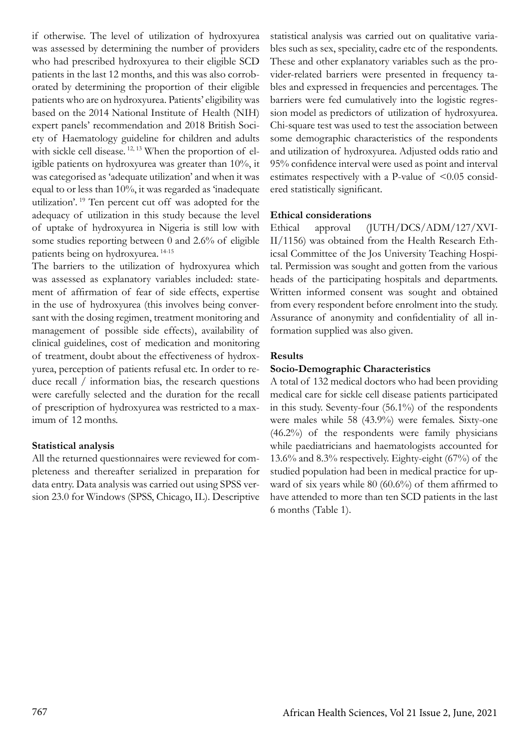if otherwise. The level of utilization of hydroxyurea was assessed by determining the number of providers who had prescribed hydroxyurea to their eligible SCD patients in the last 12 months, and this was also corroborated by determining the proportion of their eligible patients who are on hydroxyurea. Patients' eligibility was based on the 2014 National Institute of Health (NIH) expert panels' recommendation and 2018 British Society of Haematology guideline for children and adults with sickle cell disease.  $12, 13$  When the proportion of eligible patients on hydroxyurea was greater than 10%, it was categorised as 'adequate utilization' and when it was equal to or less than 10%, it was regarded as 'inadequate utilization'. 19 Ten percent cut off was adopted for the adequacy of utilization in this study because the level of uptake of hydroxyurea in Nigeria is still low with some studies reporting between 0 and 2.6% of eligible patients being on hydroxyurea. 14-15

The barriers to the utilization of hydroxyurea which was assessed as explanatory variables included: statement of affirmation of fear of side effects, expertise in the use of hydroxyurea (this involves being conversant with the dosing regimen, treatment monitoring and management of possible side effects), availability of clinical guidelines, cost of medication and monitoring of treatment, doubt about the effectiveness of hydroxyurea, perception of patients refusal etc. In order to reduce recall / information bias, the research questions were carefully selected and the duration for the recall of prescription of hydroxyurea was restricted to a maximum of 12 months.

# **Statistical analysis**

All the returned questionnaires were reviewed for completeness and thereafter serialized in preparation for data entry. Data analysis was carried out using SPSS version 23.0 for Windows (SPSS, Chicago, IL). Descriptive statistical analysis was carried out on qualitative variables such as sex, speciality, cadre etc of the respondents. These and other explanatory variables such as the provider-related barriers were presented in frequency tables and expressed in frequencies and percentages. The barriers were fed cumulatively into the logistic regression model as predictors of utilization of hydroxyurea. Chi-square test was used to test the association between some demographic characteristics of the respondents and utilization of hydroxyurea. Adjusted odds ratio and 95% confidence interval were used as point and interval estimates respectively with a P-value of  $\leq 0.05$  considered statistically significant.

#### **Ethical considerations**

Ethical approval (JUTH/DCS/ADM/127/XVI-II/1156) was obtained from the Health Research Ethicsal Committee of the Jos University Teaching Hospital. Permission was sought and gotten from the various heads of the participating hospitals and departments. Written informed consent was sought and obtained from every respondent before enrolment into the study. Assurance of anonymity and confidentiality of all information supplied was also given.

### **Results**

### **Socio-Demographic Characteristics**

A total of 132 medical doctors who had been providing medical care for sickle cell disease patients participated in this study. Seventy-four (56.1%) of the respondents were males while 58 (43.9%) were females. Sixty-one (46.2%) of the respondents were family physicians while paediatricians and haematologists accounted for 13.6% and 8.3% respectively. Eighty-eight (67%) of the studied population had been in medical practice for upward of six years while 80 (60.6%) of them affirmed to have attended to more than ten SCD patients in the last 6 months (Table 1).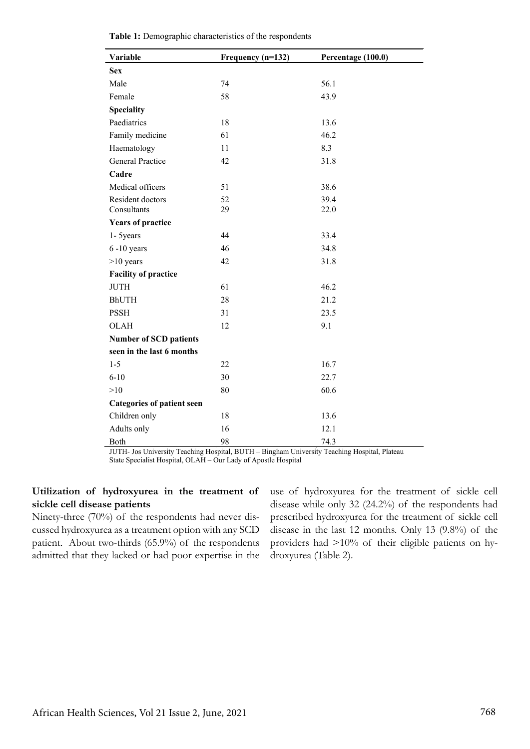| Variable                          | Frequency (n=132) | Percentage (100.0) |  |  |  |
|-----------------------------------|-------------------|--------------------|--|--|--|
| <b>Sex</b>                        |                   |                    |  |  |  |
| Male                              | 74                | 56.1               |  |  |  |
| Female                            | 58                | 43.9               |  |  |  |
| <b>Speciality</b>                 |                   |                    |  |  |  |
| Paediatrics                       | 18                | 13.6               |  |  |  |
| Family medicine                   | 61                | 46.2               |  |  |  |
| Haematology                       | 11                | 8.3                |  |  |  |
| General Practice                  | 42                | 31.8               |  |  |  |
| Cadre                             |                   |                    |  |  |  |
| Medical officers                  | 51                | 38.6               |  |  |  |
| Resident doctors                  | 52                | 39.4               |  |  |  |
| Consultants                       | 29                | 22.0               |  |  |  |
| <b>Years of practice</b>          |                   |                    |  |  |  |
| 1- 5years                         | 44                | 33.4               |  |  |  |
| $6 - 10$ years                    | 46                | 34.8               |  |  |  |
| $>10$ years                       | 42                | 31.8               |  |  |  |
| <b>Facility of practice</b>       |                   |                    |  |  |  |
| <b>JUTH</b>                       | 61                | 46.2               |  |  |  |
| <b>BhUTH</b>                      | 28                | 21.2               |  |  |  |
| <b>PSSH</b>                       | 31                | 23.5               |  |  |  |
| <b>OLAH</b>                       | 12                | 9.1                |  |  |  |
| <b>Number of SCD patients</b>     |                   |                    |  |  |  |
| seen in the last 6 months         |                   |                    |  |  |  |
| $1 - 5$                           | 22                | 16.7               |  |  |  |
| $6 - 10$                          | 30                | 22.7               |  |  |  |
| >10                               | 80                | 60.6               |  |  |  |
| <b>Categories of patient seen</b> |                   |                    |  |  |  |
| Children only                     | 18                | 13.6               |  |  |  |
| Adults only                       | 16                | 12.1               |  |  |  |
| Both                              | 98                | 74.3               |  |  |  |

|  |  |  | Table 1: Demographic characteristics of the respondents |  |  |
|--|--|--|---------------------------------------------------------|--|--|
|--|--|--|---------------------------------------------------------|--|--|

JUTH- Jos University Teaching Hospital, BUTH – Bingham University Teaching Hospital, Plateau State Specialist Hospital, OLAH – Our Lady of Apostle Hospital

# **Utilization of hydroxyurea in the treatment of sickle cell disease patients**

Ninety-three (70%) of the respondents had never discussed hydroxyurea as a treatment option with any SCD patient. About two-thirds (65.9%) of the respondents admitted that they lacked or had poor expertise in the

use of hydroxyurea for the treatment of sickle cell disease while only 32 (24.2%) of the respondents had prescribed hydroxyurea for the treatment of sickle cell disease in the last 12 months. Only 13 (9.8%) of the providers had >10% of their eligible patients on hydroxyurea (Table 2).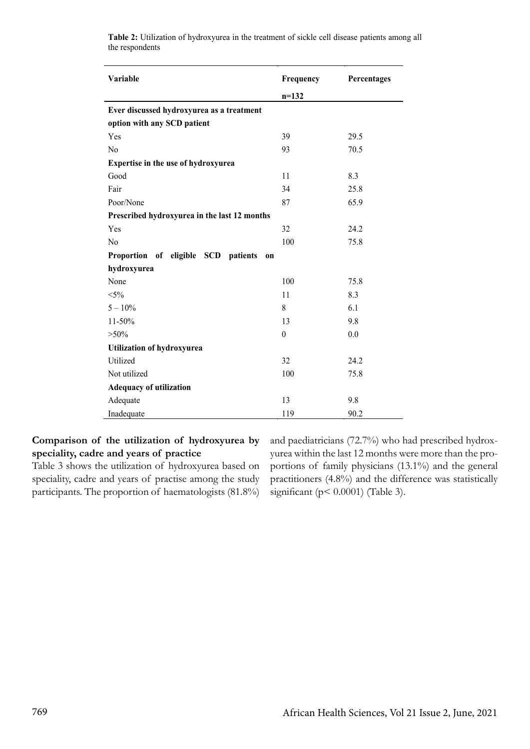| Variable                                     | Frequency        | Percentages |
|----------------------------------------------|------------------|-------------|
|                                              | $n=132$          |             |
| Ever discussed hydroxyurea as a treatment    |                  |             |
| option with any SCD patient                  |                  |             |
| Yes                                          | 39               | 29.5        |
| N <sub>0</sub>                               | 93               | 70.5        |
| Expertise in the use of hydroxyurea          |                  |             |
| Good                                         | 11               | 8.3         |
| Fair                                         | 34               | 25.8        |
| Poor/None                                    | 87               | 65.9        |
| Prescribed hydroxyurea in the last 12 months |                  |             |
| Yes                                          | 32               | 24.2        |
| N <sub>0</sub>                               | 100              | 75.8        |
| Proportion of eligible SCD patients<br>on    |                  |             |
| hydroxyurea                                  |                  |             |
| None                                         | 100              | 75.8        |
| $< 5\%$                                      | 11               | 8.3         |
| $5 - 10\%$                                   | 8                | 6.1         |
| 11-50%                                       | 13               | 9.8         |
| $> 50\%$                                     | $\boldsymbol{0}$ | 0.0         |
| <b>Utilization of hydroxyurea</b>            |                  |             |
| Utilized                                     | 32               | 24.2        |
| Not utilized                                 | 100              | 75.8        |
| <b>Adequacy of utilization</b>               |                  |             |
| Adequate                                     | 13               | 9.8         |
| Inadequate                                   | 119              | 90.2        |

**Table 2:** Utilization of hydroxyurea in the treatment of sickle cell disease patients among all the respondents

# **Comparison of the utilization of hydroxyurea by speciality, cadre and years of practice**

Table 3 shows the utilization of hydroxyurea based on speciality, cadre and years of practise among the study participants. The proportion of haematologists (81.8%) and paediatricians (72.7%) who had prescribed hydroxyurea within the last 12 months were more than the proportions of family physicians (13.1%) and the general practitioners (4.8%) and the difference was statistically significant ( $p < 0.0001$ ) (Table 3).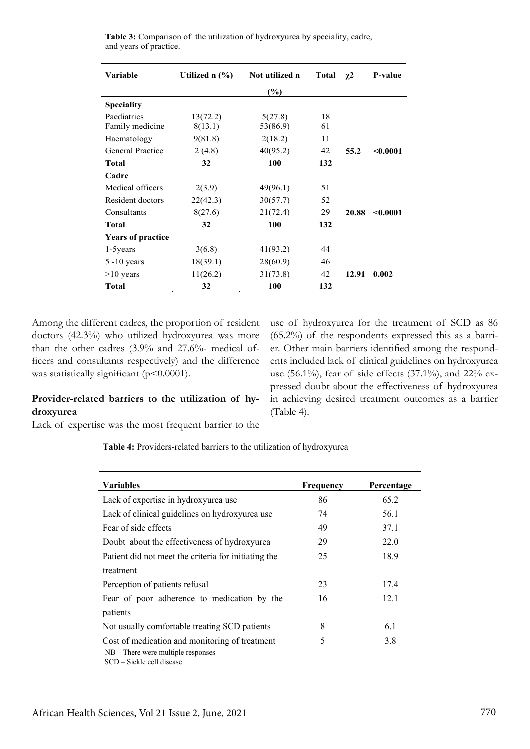| <b>Variable</b>                | Utilized $n$ $(\%)$ | Not utilized n      | <b>Total</b> | $\chi$ <sup>2</sup> | <b>P-value</b> |
|--------------------------------|---------------------|---------------------|--------------|---------------------|----------------|
|                                |                     | $(\%)$              |              |                     |                |
| <b>Speciality</b>              |                     |                     |              |                     |                |
| Paediatrics<br>Family medicine | 13(72.2)<br>8(13.1) | 5(27.8)<br>53(86.9) | 18<br>61     |                     |                |
| Haematology                    | 9(81.8)             | 2(18.2)             | 11           |                     |                |
| <b>General Practice</b>        | 2(4.8)              | 40(95.2)            | 42           | 55.2                | < 0.0001       |
| <b>Total</b>                   | 32                  | 100                 | 132          |                     |                |
| Cadre                          |                     |                     |              |                     |                |
| Medical officers               | 2(3.9)              | 49(96.1)            | 51           |                     |                |
| Resident doctors               | 22(42.3)            | 30(57.7)            | 52           |                     |                |
| Consultants                    | 8(27.6)             | 21(72.4)            | 29           | 20.88               | < 0.0001       |
| <b>Total</b>                   | 32                  | 100                 | 132          |                     |                |
| <b>Years of practice</b>       |                     |                     |              |                     |                |
| 1-5 years                      | 3(6.8)              | 41(93.2)            | 44           |                     |                |
| $5 - 10$ years                 | 18(39.1)            | 28(60.9)            | 46           |                     |                |
| $>10$ years                    | 11(26.2)            | 31(73.8)            | 42           | 12.91               | 0.002          |
| Total                          | 32                  | 100                 | 132          |                     |                |

**Table 3:** Comparison of the utilization of hydroxyurea by speciality, cadre, and years of practice.

Among the different cadres, the proportion of resident doctors (42.3%) who utilized hydroxyurea was more than the other cadres (3.9% and 27.6%- medical officers and consultants respectively) and the difference was statistically significant ( $p$ <0.0001).

 $\overline{a}$ 

# **Provider-related barriers to the utilization of hydroxyurea**

Lack of expertise was the most frequent barrier to the

use of hydroxyurea for the treatment of SCD as 86 (65.2%) of the respondents expressed this as a barrier. Other main barriers identified among the respondents included lack of clinical guidelines on hydroxyurea use (56.1%), fear of side effects (37.1%), and 22% expressed doubt about the effectiveness of hydroxyurea in achieving desired treatment outcomes as a barrier (Table 4).

**Table 4:** Providers-related barriers to the utilization of hydroxyurea

| <b>Variables</b>                                     | Frequency | Percentage |
|------------------------------------------------------|-----------|------------|
| Lack of expertise in hydroxyurea use                 | 86        | 65.2       |
| Lack of clinical guidelines on hydroxyurea use       | 74        | 56.1       |
| Fear of side effects                                 | 49        | 37.1       |
| Doubt about the effectiveness of hydroxyurea         | 29        | 22.0       |
| Patient did not meet the criteria for initiating the | 25        | 18.9       |
| treatment                                            |           |            |
| Perception of patients refusal                       | 23        | 17.4       |
| Fear of poor adherence to medication by the          | 16        | 12.1       |
| patients                                             |           |            |
| Not usually comfortable treating SCD patients        | 8         | 6.1        |
| Cost of medication and monitoring of treatment       | 5         | 3.8        |
| $\sim$                                               |           |            |

NB – There were multiple responses SCD – Sickle cell disease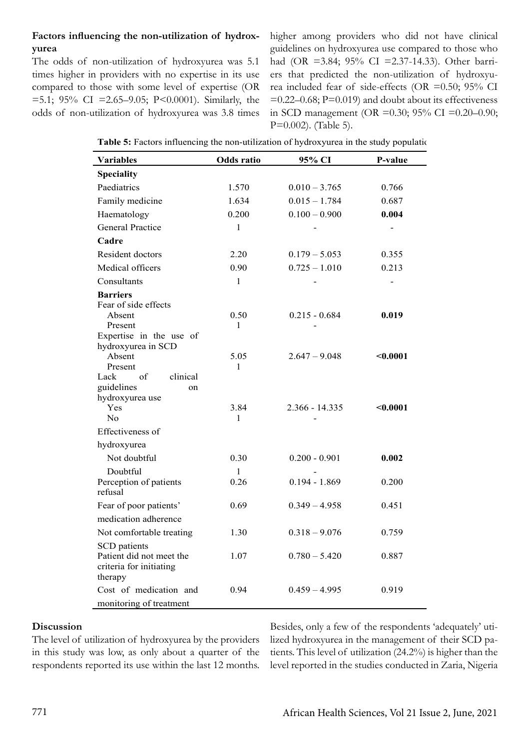# **Factors influencing the non-utilization of hydroxyurea**

The odds of non-utilization of hydroxyurea was 5.1 times higher in providers with no expertise in its use compared to those with some level of expertise (OR =5.1; 95% CI =2.65–9.05; P<0.0001). Similarly, the odds of non-utilization of hydroxyurea was 3.8 times higher among providers who did not have clinical guidelines on hydroxyurea use compared to those who had (OR =3.84; 95% CI =2.37-14.33). Other barriers that predicted the non-utilization of hydroxyurea included fear of side-effects (OR =0.50; 95% CI  $=0.22-0.68$ ; P $=0.019$ ) and doubt about its effectiveness in SCD management (OR =0.30; 95% CI =0.20–0.90; P=0.002). (Table 5).

| <b>Variables</b>                               | <b>Odds</b> ratio | 95% CI           | P-value  |
|------------------------------------------------|-------------------|------------------|----------|
| <b>Speciality</b>                              |                   |                  |          |
| Paediatrics                                    | 1.570             | $0.010 - 3.765$  | 0.766    |
| Family medicine                                | 1.634             | $0.015 - 1.784$  | 0.687    |
| Haematology                                    | 0.200             | $0.100 - 0.900$  | 0.004    |
| <b>General Practice</b>                        | $\mathbf{1}$      |                  |          |
| Cadre                                          |                   |                  |          |
| Resident doctors                               | 2.20              | $0.179 - 5.053$  | 0.355    |
| Medical officers                               | 0.90              | $0.725 - 1.010$  | 0.213    |
| Consultants                                    | $\mathbf{1}$      |                  |          |
| <b>Barriers</b>                                |                   |                  |          |
| Fear of side effects                           |                   |                  |          |
| Absent<br>Present                              | 0.50<br>1         | $0.215 - 0.684$  | 0.019    |
| Expertise in the use of                        |                   |                  |          |
| hydroxyurea in SCD                             |                   |                  |          |
| Absent                                         | 5.05              | $2.647 - 9.048$  | < 0.0001 |
| Present                                        | 1                 |                  |          |
| Lack<br>of<br>clinical<br>guidelines           |                   |                  |          |
| on<br>hydroxyurea use                          |                   |                  |          |
| Yes                                            | 3.84              | $2.366 - 14.335$ | < 0.0001 |
| No                                             | 1                 |                  |          |
| Effectiveness of                               |                   |                  |          |
| hydroxyurea                                    |                   |                  |          |
| Not doubtful                                   | 0.30              | $0.200 - 0.901$  | 0.002    |
| Doubtful                                       | 1                 |                  |          |
| Perception of patients                         | 0.26              | $0.194 - 1.869$  | 0.200    |
| refusal                                        |                   | $0.349 - 4.958$  | 0.451    |
| Fear of poor patients'<br>medication adherence | 0.69              |                  |          |
|                                                |                   |                  |          |
| Not comfortable treating                       | 1.30              | $0.318 - 9.076$  | 0.759    |
| SCD patients<br>Patient did not meet the       | 1.07              | $0.780 - 5.420$  | 0.887    |
| criteria for initiating                        |                   |                  |          |
| therapy                                        |                   |                  |          |
| Cost of medication and                         | 0.94              | $0.459 - 4.995$  | 0.919    |
| monitoring of treatment                        |                   |                  |          |

|  |  |  | Table 5: Factors influencing the non-utilization of hydroxyurea in the study population- |
|--|--|--|------------------------------------------------------------------------------------------|
|  |  |  |                                                                                          |

### **Discussion**

The level of utilization of hydroxyurea by the providers in this study was low, as only about a quarter of the respondents reported its use within the last 12 months.

Besides, only a few of the respondents 'adequately' utilized hydroxyurea in the management of their SCD patients. This level of utilization (24.2%) is higher than the level reported in the studies conducted in Zaria, Nigeria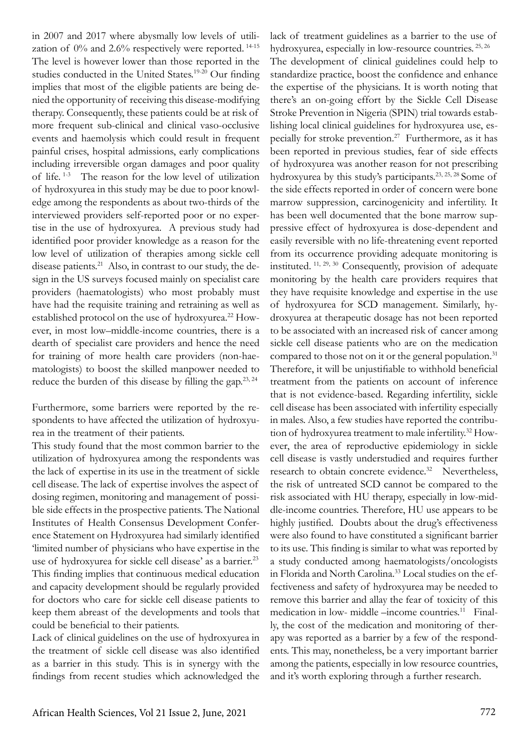in 2007 and 2017 where abysmally low levels of utilization of 0% and 2.6% respectively were reported. 14-15 The level is however lower than those reported in the studies conducted in the United States.19-20 Our finding implies that most of the eligible patients are being denied the opportunity of receiving this disease-modifying therapy. Consequently, these patients could be at risk of more frequent sub-clinical and clinical vaso-occlusive events and haemolysis which could result in frequent painful crises, hospital admissions, early complications including irreversible organ damages and poor quality of life. 1-3 The reason for the low level of utilization of hydroxyurea in this study may be due to poor knowledge among the respondents as about two-thirds of the interviewed providers self-reported poor or no expertise in the use of hydroxyurea. A previous study had identified poor provider knowledge as a reason for the low level of utilization of therapies among sickle cell disease patients.<sup>21</sup> Also, in contrast to our study, the design in the US surveys focused mainly on specialist care providers (haematologists) who most probably must have had the requisite training and retraining as well as established protocol on the use of hydroxyurea.<sup>22</sup> However, in most low–middle-income countries, there is a dearth of specialist care providers and hence the need for training of more health care providers (non-haematologists) to boost the skilled manpower needed to reduce the burden of this disease by filling the gap.<sup>23, 24</sup>

Furthermore, some barriers were reported by the respondents to have affected the utilization of hydroxyurea in the treatment of their patients.

This study found that the most common barrier to the utilization of hydroxyurea among the respondents was the lack of expertise in its use in the treatment of sickle cell disease. The lack of expertise involves the aspect of dosing regimen, monitoring and management of possible side effects in the prospective patients. The National Institutes of Health Consensus Development Conference Statement on Hydroxyurea had similarly identified 'limited number of physicians who have expertise in the use of hydroxyurea for sickle cell disease' as a barrier.<sup>23</sup> This finding implies that continuous medical education and capacity development should be regularly provided for doctors who care for sickle cell disease patients to keep them abreast of the developments and tools that could be beneficial to their patients.

Lack of clinical guidelines on the use of hydroxyurea in the treatment of sickle cell disease was also identified as a barrier in this study. This is in synergy with the findings from recent studies which acknowledged the

lack of treatment guidelines as a barrier to the use of hydroxyurea, especially in low-resource countries. 25, 26 The development of clinical guidelines could help to standardize practice, boost the confidence and enhance the expertise of the physicians. It is worth noting that there's an on-going effort by the Sickle Cell Disease Stroke Prevention in Nigeria (SPIN) trial towards establishing local clinical guidelines for hydroxyurea use, especially for stroke prevention.27 Furthermore, as it has been reported in previous studies, fear of side effects of hydroxyurea was another reason for not prescribing hydroxyurea by this study's participants.<sup>23, 25, 28</sup> Some of the side effects reported in order of concern were bone marrow suppression, carcinogenicity and infertility. It has been well documented that the bone marrow suppressive effect of hydroxyurea is dose-dependent and easily reversible with no life-threatening event reported from its occurrence providing adequate monitoring is instituted. 11, 29, 30 Consequently, provision of adequate monitoring by the health care providers requires that they have requisite knowledge and expertise in the use of hydroxyurea for SCD management. Similarly, hydroxyurea at therapeutic dosage has not been reported to be associated with an increased risk of cancer among sickle cell disease patients who are on the medication compared to those not on it or the general population.<sup>31</sup> Therefore, it will be unjustifiable to withhold beneficial treatment from the patients on account of inference that is not evidence-based. Regarding infertility, sickle cell disease has been associated with infertility especially in males. Also, a few studies have reported the contribution of hydroxyurea treatment to male infertility.<sup>32</sup> However, the area of reproductive epidemiology in sickle cell disease is vastly understudied and requires further research to obtain concrete evidence.<sup>32</sup> Nevertheless, the risk of untreated SCD cannot be compared to the risk associated with HU therapy, especially in low-middle-income countries. Therefore, HU use appears to be highly justified. Doubts about the drug's effectiveness were also found to have constituted a significant barrier to its use. This finding is similar to what was reported by a study conducted among haematologists/oncologists in Florida and North Carolina.33 Local studies on the effectiveness and safety of hydroxyurea may be needed to remove this barrier and allay the fear of toxicity of this medication in low- middle –income countries.<sup>11</sup> Finally, the cost of the medication and monitoring of therapy was reported as a barrier by a few of the respondents. This may, nonetheless, be a very important barrier among the patients, especially in low resource countries, and it's worth exploring through a further research.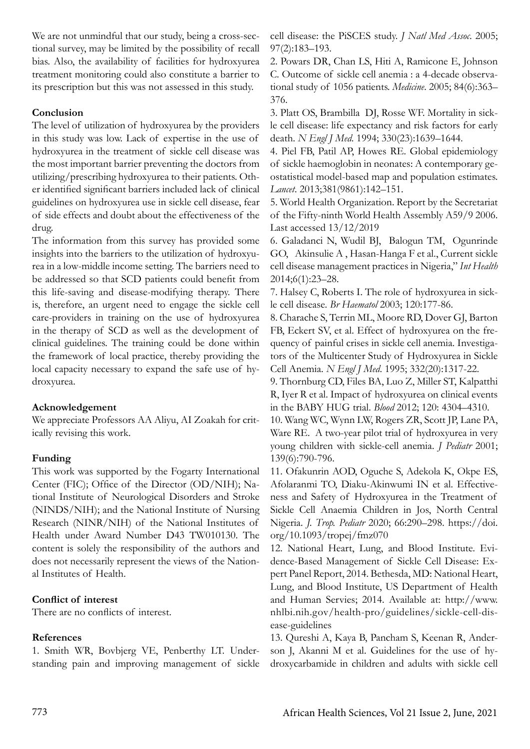We are not unmindful that our study, being a cross-sectional survey, may be limited by the possibility of recall bias. Also, the availability of facilities for hydroxyurea treatment monitoring could also constitute a barrier to its prescription but this was not assessed in this study.

### **Conclusion**

The level of utilization of hydroxyurea by the providers in this study was low. Lack of expertise in the use of hydroxyurea in the treatment of sickle cell disease was the most important barrier preventing the doctors from utilizing/prescribing hydroxyurea to their patients. Other identified significant barriers included lack of clinical guidelines on hydroxyurea use in sickle cell disease, fear of side effects and doubt about the effectiveness of the drug.

The information from this survey has provided some insights into the barriers to the utilization of hydroxyurea in a low-middle income setting. The barriers need to be addressed so that SCD patients could benefit from this life-saving and disease-modifying therapy. There is, therefore, an urgent need to engage the sickle cell care-providers in training on the use of hydroxyurea in the therapy of SCD as well as the development of clinical guidelines. The training could be done within the framework of local practice, thereby providing the local capacity necessary to expand the safe use of hydroxyurea.

### **Acknowledgement**

We appreciate Professors AA Aliyu, AI Zoakah for critically revising this work.

# **Funding**

This work was supported by the Fogarty International Center (FIC); Office of the Director (OD/NIH); National Institute of Neurological Disorders and Stroke (NINDS/NIH); and the National Institute of Nursing Research (NINR/NIH) of the National Institutes of Health under Award Number D43 TW010130. The content is solely the responsibility of the authors and does not necessarily represent the views of the National Institutes of Health.

# **Conflict of interest**

There are no conflicts of interest.

# **References**

1. Smith WR, Bovbjerg VE, Penberthy LT. Understanding pain and improving management of sickle cell disease: the PiSCES study. *J Natl Med Assoc*. 2005; 97(2):183–193.

2. Powars DR, Chan LS, Hiti A, Ramicone E, Johnson C. Outcome of sickle cell anemia : a 4-decade observational study of 1056 patients. *Medicine*. 2005; 84(6):363– 376.

3. Platt OS, Brambilla DJ, Rosse WF. Mortality in sickle cell disease: life expectancy and risk factors for early death. *N Engl J Med*. 1994; 330(23):1639–1644.

4. Piel FB, Patil AP, Howes RE. Global epidemiology of sickle haemoglobin in neonates: A contemporary geostatistical model-based map and population estimates. *Lancet*. 2013;381(9861):142–151.

5. World Health Organization. Report by the Secretariat of the Fifty-ninth World Health Assembly A59/9 2006. Last accessed 13/12/2019

6. Galadanci N, Wudil BJ, Balogun TM, Ogunrinde GO, Akinsulie A , Hasan-Hanga F et al., Current sickle cell disease management practices in Nigeria," *Int Health* 2014;6(1):23–28.

7. Halsey C, Roberts I. The role of hydroxyurea in sickle cell disease. *Br Haematol* 2003; 120:177-86.

8. Charache S, Terrin ML, Moore RD, Dover GJ, Barton FB, Eckert SV, et al. Effect of hydroxyurea on the frequency of painful crises in sickle cell anemia. Investigators of the Multicenter Study of Hydroxyurea in Sickle Cell Anemia. *N Engl J Med*. 1995; 332(20):1317-22.

9. Thornburg CD, Files BA, Luo Z, Miller ST, Kalpatthi R, Iyer R et al. Impact of hydroxyurea on clinical events in the BABY HUG trial. *Blood* 2012; 120: 4304–4310.

10. Wang WC, Wynn LW, Rogers ZR, Scott JP, Lane PA, Ware RE. A two-year pilot trial of hydroxyurea in very young children with sickle-cell anemia. *J Pediatr* 2001; 139(6):790-796.

11. Ofakunrin AOD, Oguche S, Adekola K, Okpe ES, Afolaranmi TO, Diaku-Akinwumi IN et al. Effectiveness and Safety of Hydroxyurea in the Treatment of Sickle Cell Anaemia Children in Jos, North Central Nigeria. *J. Trop. Pediatr* 2020; 66:290–298. https://doi. org/10.1093/tropej/fmz070

12. National Heart, Lung, and Blood Institute. Evidence-Based Management of Sickle Cell Disease: Expert Panel Report, 2014. Bethesda, MD: National Heart, Lung, and Blood Institute, US Department of Health and Human Servies; 2014. Available at: http://www. nhlbi.nih.gov/health-pro/guidelines/sickle-cell-disease-guidelines

13. Qureshi A, Kaya B, Pancham S, Keenan R, Anderson J, Akanni M et al. Guidelines for the use of hydroxycarbamide in children and adults with sickle cell